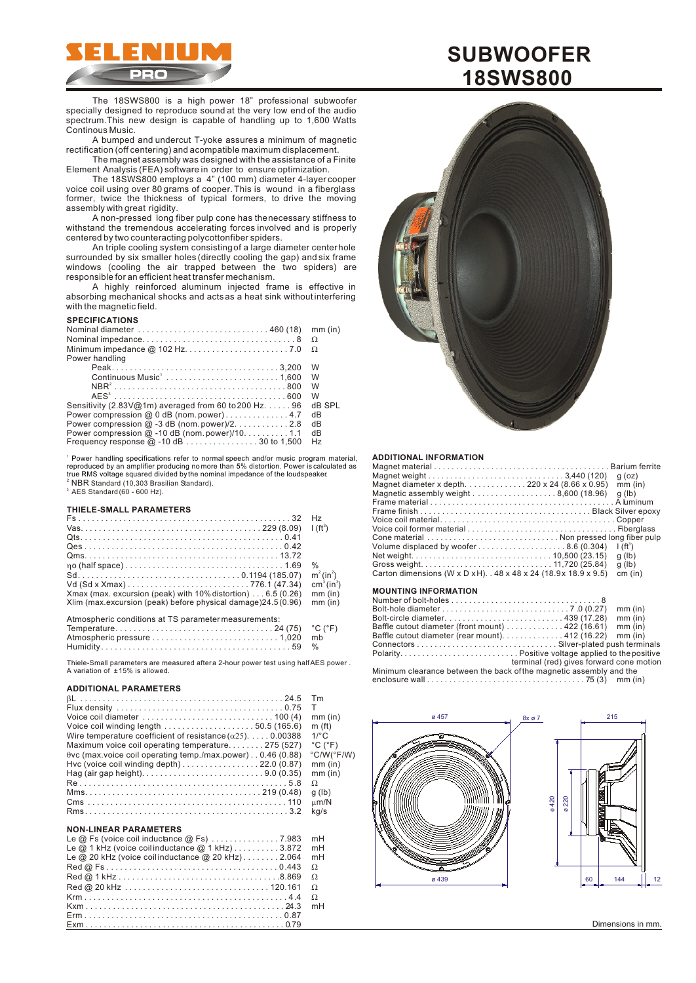

The 18SWS800 is a high power 18" professional subwoofer specially designed to reproduce sound at the very low end of the audio spectrum.This new design is capable of handling up to 1,600 Watts Continous Music.

A bumped and undercut T-yoke assures a minimum of magnetic rectification (off centering) and a compatible maximum displacement.

The magnet assembly was designed with the assistance of a Finite Element Analysis (FEA) software in order to ensure optimization.

The 18SWS800 employs a 4" (100 mm) diameter 4-layer cooper voice coil using over 80 grams of cooper. This is wound in a fiberglass former, twice the thickness of typical formers, to drive the moving assembly with great rigidity.

A non-pressed long fiber pulp cone has the necessary stiffness to withstand the tremendous accelerating forces involved and is properly centered by two counteracting polycotton fiber spiders.

An triple cooling system consisting of a large diameter center hole surrounded by six smaller holes (directly cooling the gap) and six frame windows (cooling the air trapped between the two spiders) are responsible for an efficient heat transfer mechanism.

A highly reinforced aluminum injected frame is effective in absorbing mechanical shocks and acts as a heat sink without interfering with the magnetic field.

#### **SPECIFICATIONS**

|                                                                 | mm (in) |
|-----------------------------------------------------------------|---------|
|                                                                 |         |
| Power handling                                                  |         |
|                                                                 | W       |
|                                                                 | W       |
|                                                                 | W       |
|                                                                 | W       |
| Sensitivity (2.83V@1m) averaged from 60 to 200 Hz. $\dots$ . 96 | dB SPL  |
| Power compression @ 0 dB (nom.power)4.7                         | dB      |
| Power compression $@-3$ dB (nom. power)/2. 2.8                  | dB      |
| Power compression $@$ -10 dB (nom. power)/10. 1.1               | dB      |
| Frequency response $@-10$ dB  30 to 1,500                       | Hz      |

1 Power handling specifications refer to normal speech and/or music program material, <sup>2</sup> NBR Standard (10,303 Brasilian Standard).  $^3$  AES Standard (60 - 600 Hz). reproduced by an amplifier producing no more than 5% distortion. Power is calculated as true RMS voltage squared divided by the nominal impedance of the loudspeaker.

# **THIELE-SMALL PARAMETERS**

|                                                                        | H <sub>z</sub>                     |
|------------------------------------------------------------------------|------------------------------------|
|                                                                        | $1(ft^3)$                          |
|                                                                        |                                    |
|                                                                        |                                    |
|                                                                        |                                    |
|                                                                        | %                                  |
|                                                                        | $m^2 (in^2)$                       |
|                                                                        | cm <sup>3</sup> (in <sup>3</sup> ) |
| Xmax (max. excursion (peak) with $10\%$ distortion) $\dots$ 6.5 (0.26) | $mm$ (in)                          |
| Xlim (max.excursion (peak) before physical damage) 24.5 (0.96)         | $mm$ (in)                          |
| Atmospheric conditions at TS parameter measurements:                   |                                    |
|                                                                        |                                    |

Thiele-Small parameters are measured after a 2-hour power test using half AES power A variation of ± 15% is allowed.

# **ADDITIONAL PARAMETERS**

|                                                                                    | Tm                           |
|------------------------------------------------------------------------------------|------------------------------|
|                                                                                    |                              |
| Voice coil diameter $\dots\dots\dots\dots\dots\dots\dots\dots\dots$ 100 (4)        | $mm$ (in)                    |
| Voice coil winding length $\ldots \ldots \ldots \ldots \ldots \ldots 50.5$ (165.6) | m(f <sub>t</sub> )           |
| Wire temperature coefficient of resistance $($ , $)$ , $\ldots$ , 0.00388          | $1$ <sup>o</sup> $\sim$      |
| Maximum voice coil operating temperature275 (527)                                  | $^{\circ}$ C ( $^{\circ}$ F) |
| vc (max.voice coil operating temp./max.power) 0.46 (0.88)                          | °C/W(°F/W)                   |
| Hvc (voice coil winding depth) $\dots\dots\dots\dots\dots$ 22.0 (0.87)             | $mm$ (in)                    |
|                                                                                    | $mm$ (in)                    |
|                                                                                    |                              |
|                                                                                    | $q$ (lb)                     |
|                                                                                    | m/N                          |
|                                                                                    | ka/s                         |

# **NON-LINEAR PARAMETERS**

| Le @ Fs (voice coil inductance @ Fs) 7.983 mH          |  |
|--------------------------------------------------------|--|
| Le $@$ 1 kHz (voice coilinductance $@$ 1 kHz) 3.872 mH |  |
| Le @ 20 kHz (voice coilinductance @ 20 kHz)2.064 mH    |  |
|                                                        |  |
|                                                        |  |
|                                                        |  |
|                                                        |  |
|                                                        |  |
|                                                        |  |
|                                                        |  |





### **ADDITIONAL INFORMATION**

| $q$ (oz)      |
|---------------|
| $mm$ (in)     |
| $q$ (lb)      |
|               |
|               |
|               |
|               |
|               |
| $\int (ft^3)$ |
| $q$ (lb)      |
| $q$ (lb)      |
| cm (in)       |
|               |
|               |

# **MOUNTING INFORMATION**

|                                                                                         | mm (in)   |
|-----------------------------------------------------------------------------------------|-----------|
|                                                                                         | $mm$ (in) |
| Baffle cutout diameter (front mount) $\dots\dots\dots\dots$ 422 (16.61)                 | $mm$ (in) |
| Baffle cutout diameter (rear mount). $\ldots \ldots \ldots \ldots$ 412 (16.22)          | $mm$ (in) |
|                                                                                         |           |
|                                                                                         |           |
| terminal (red) gives forward cone motion                                                |           |
| Minimum clearance between the back of the magnetic assembly and the                     |           |
| enclosure wall $\dots\dots\dots\dots\dots\dots\dots\dots\dots\dots\dots$ 75 (3) mm (in) |           |